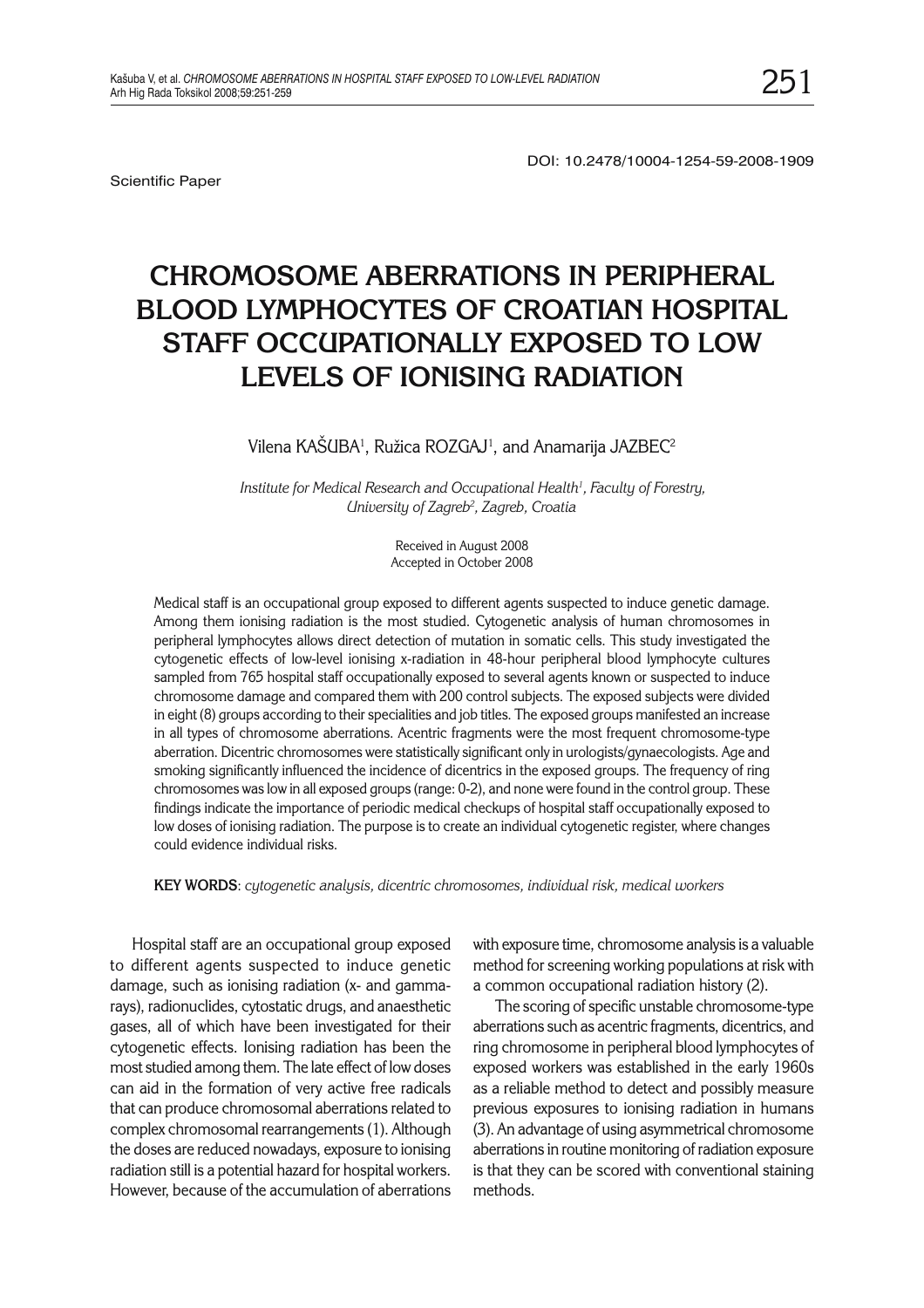Scientific Paper

DOI: 10.2478/10004-1254-59-2008-1909

# **CHROMOSOME ABERRATIONS IN PERIPHERAL BLOOD LYMPHOCYTES OF CROATIAN HOSPITAL STAFF OCCUPATIONALLY EXPOSED TO LOW LEVELS OF IONISING RADIATION**

#### Vilena KASUBA<sup>1</sup>, Ružica ROZGAJ<sup>1</sup>, and Anamarija JAZBEC<sup>2</sup>

Institute for Medical Research and Occupational Health<sup>1</sup>, Faculty of Forestry, *University of Zagreb2 , Zagreb, Croatia*

> Received in August 2008 Accepted in October 2008

Medical staff is an occupational group exposed to different agents suspected to induce genetic damage. Among them ionising radiation is the most studied. Cytogenetic analysis of human chromosomes in peripheral lymphocytes allows direct detection of mutation in somatic cells. This study investigated the cytogenetic effects of low-level ionising x-radiation in 48-hour peripheral blood lymphocyte cultures sampled from 765 hospital staff occupationally exposed to several agents known or suspected to induce chromosome damage and compared them with 200 control subjects. The exposed subjects were divided in eight (8) groups according to their specialities and job titles. The exposed groups manifested an increase in all types of chromosome aberrations. Acentric fragments were the most frequent chromosome-type aberration. Dicentric chromosomes were statistically significant only in urologists/gynaecologists. Age and smoking significantly influenced the incidence of dicentrics in the exposed groups. The frequency of ring chromosomes was low in all exposed groups (range: 0-2), and none were found in the control group. These findings indicate the importance of periodic medical checkups of hospital staff occupationally exposed to low doses of ionising radiation. The purpose is to create an individual cytogenetic register, where changes could evidence individual risks.

**KEY WORDS**: *cytogenetic analysis, dicentric chromosomes, individual risk, medical workers*

Hospital staff are an occupational group exposed to different agents suspected to induce genetic damage, such as ionising radiation (x- and gammarays), radionuclides, cytostatic drugs, and anaesthetic gases, all of which have been investigated for their cytogenetic effects. Ionising radiation has been the most studied among them. The late effect of low doses can aid in the formation of very active free radicals that can produce chromosomal aberrations related to complex chromosomal rearrangements (1). Although the doses are reduced nowadays, exposure to ionising radiation still is a potential hazard for hospital workers. However, because of the accumulation of aberrations

with exposure time, chromosome analysis is a valuable method for screening working populations at risk with a common occupational radiation history (2).

The scoring of specific unstable chromosome-type aberrations such as acentric fragments, dicentrics, and ring chromosome in peripheral blood lymphocytes of exposed workers was established in the early 1960s as a reliable method to detect and possibly measure previous exposures to ionising radiation in humans (3). An advantage of using asymmetrical chromosome aberrations in routine monitoring of radiation exposure is that they can be scored with conventional staining methods.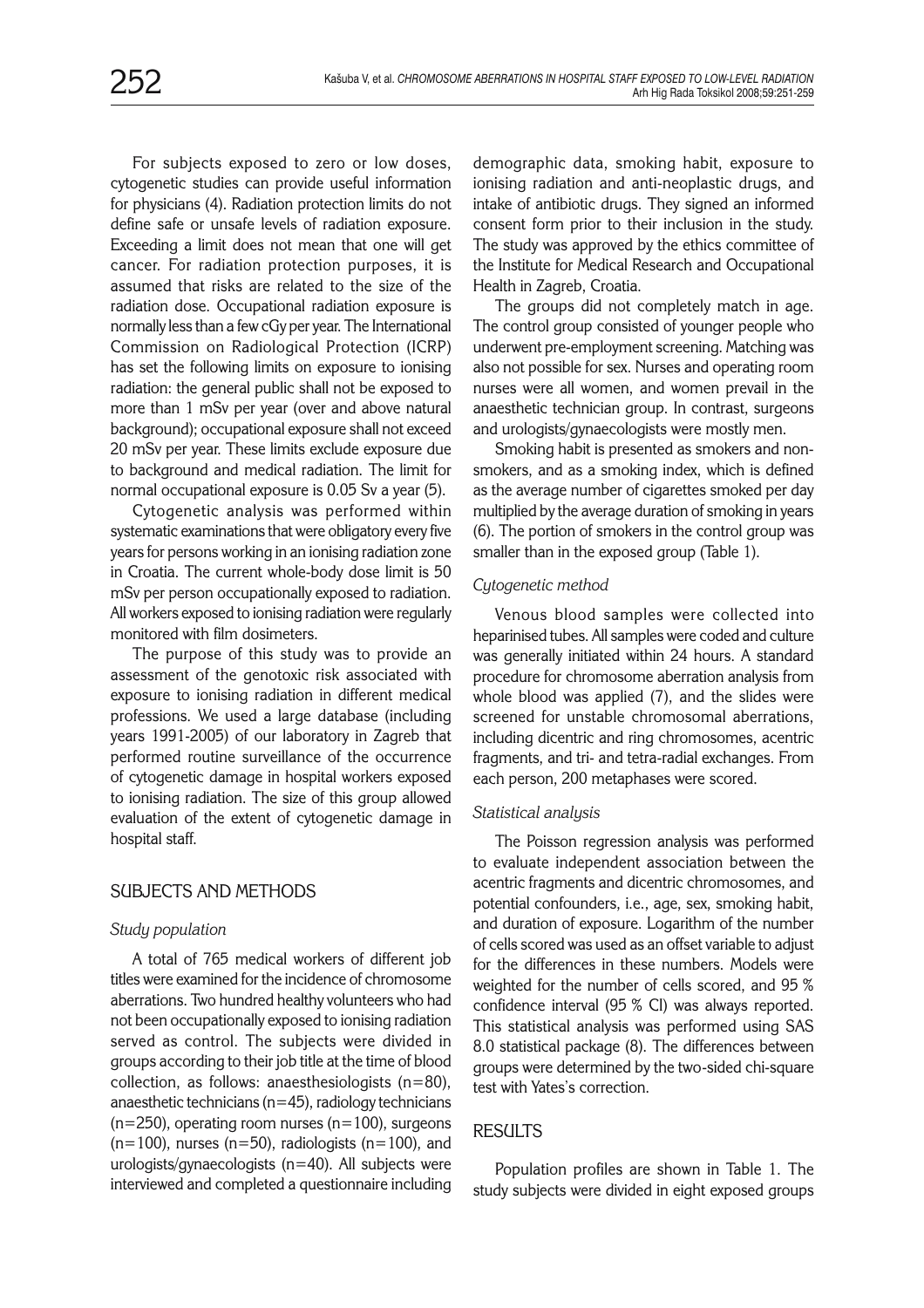For subjects exposed to zero or low doses, cytogenetic studies can provide useful information for physicians (4). Radiation protection limits do not define safe or unsafe levels of radiation exposure. Exceeding a limit does not mean that one will get cancer. For radiation protection purposes, it is assumed that risks are related to the size of the radiation dose. Occupational radiation exposure is normally less than a few cGy per year. The International Commission on Radiological Protection (ICRP) has set the following limits on exposure to ionising radiation: the general public shall not be exposed to more than 1 mSv per year (over and above natural background); occupational exposure shall not exceed 20 mSv per year. These limits exclude exposure due to background and medical radiation. The limit for normal occupational exposure is 0.05 Sv a year (5).

Cytogenetic analysis was performed within systematic examinations that were obligatory every five years for persons working in an ionising radiation zone in Croatia. The current whole-body dose limit is 50 mSv per person occupationally exposed to radiation. All workers exposed to ionising radiation were regularly monitored with film dosimeters.

The purpose of this study was to provide an assessment of the genotoxic risk associated with exposure to ionising radiation in different medical professions. We used a large database (including years 1991-2005) of our laboratory in Zagreb that performed routine surveillance of the occurrence of cytogenetic damage in hospital workers exposed to ionising radiation. The size of this group allowed evaluation of the extent of cytogenetic damage in hospital staff.

# SUBJECTS AND METHODS

# *Study population*

A total of 765 medical workers of different job titles were examined for the incidence of chromosome aberrations. Two hundred healthy volunteers who had not been occupationally exposed to ionising radiation served as control. The subjects were divided in groups according to their job title at the time of blood collection, as follows: anaesthesiologists (n=80), anaesthetic technicians ( $n=45$ ), radiology technicians  $(n=250)$ , operating room nurses  $(n=100)$ , surgeons  $(n=100)$ , nurses  $(n=50)$ , radiologists  $(n=100)$ , and urologists/gynaecologists (n=40). All subjects were interviewed and completed a questionnaire including

demographic data, smoking habit, exposure to ionising radiation and anti-neoplastic drugs, and intake of antibiotic drugs. They signed an informed consent form prior to their inclusion in the study. The study was approved by the ethics committee of the Institute for Medical Research and Occupational Health in Zagreb, Croatia.

The groups did not completely match in age. The control group consisted of younger people who underwent pre-employment screening. Matching was also not possible for sex. Nurses and operating room nurses were all women, and women prevail in the anaesthetic technician group. In contrast, surgeons and urologists/gynaecologists were mostly men.

Smoking habit is presented as smokers and nonsmokers, and as a smoking index, which is defined as the average number of cigarettes smoked per day multiplied by the average duration of smoking in years (6). The portion of smokers in the control group was smaller than in the exposed group (Table 1).

# *Cytogenetic method*

Venous blood samples were collected into heparinised tubes. All samples were coded and culture was generally initiated within 24 hours. A standard procedure for chromosome aberration analysis from whole blood was applied (7), and the slides were screened for unstable chromosomal aberrations, including dicentric and ring chromosomes, acentric fragments, and tri- and tetra-radial exchanges. From each person, 200 metaphases were scored.

#### *Statistical analysis*

The Poisson regression analysis was performed to evaluate independent association between the acentric fragments and dicentric chromosomes, and potential confounders, i.e., age, sex, smoking habit, and duration of exposure. Logarithm of the number of cells scored was used as an offset variable to adjust for the differences in these numbers. Models were weighted for the number of cells scored, and 95 % confidence interval (95 % CI) was always reported. This statistical analysis was performed using SAS 8.0 statistical package (8). The differences between groups were determined by the two-sided chi-square test with Yates's correction.

# RESULTS

Population profiles are shown in Table 1. The study subjects were divided in eight exposed groups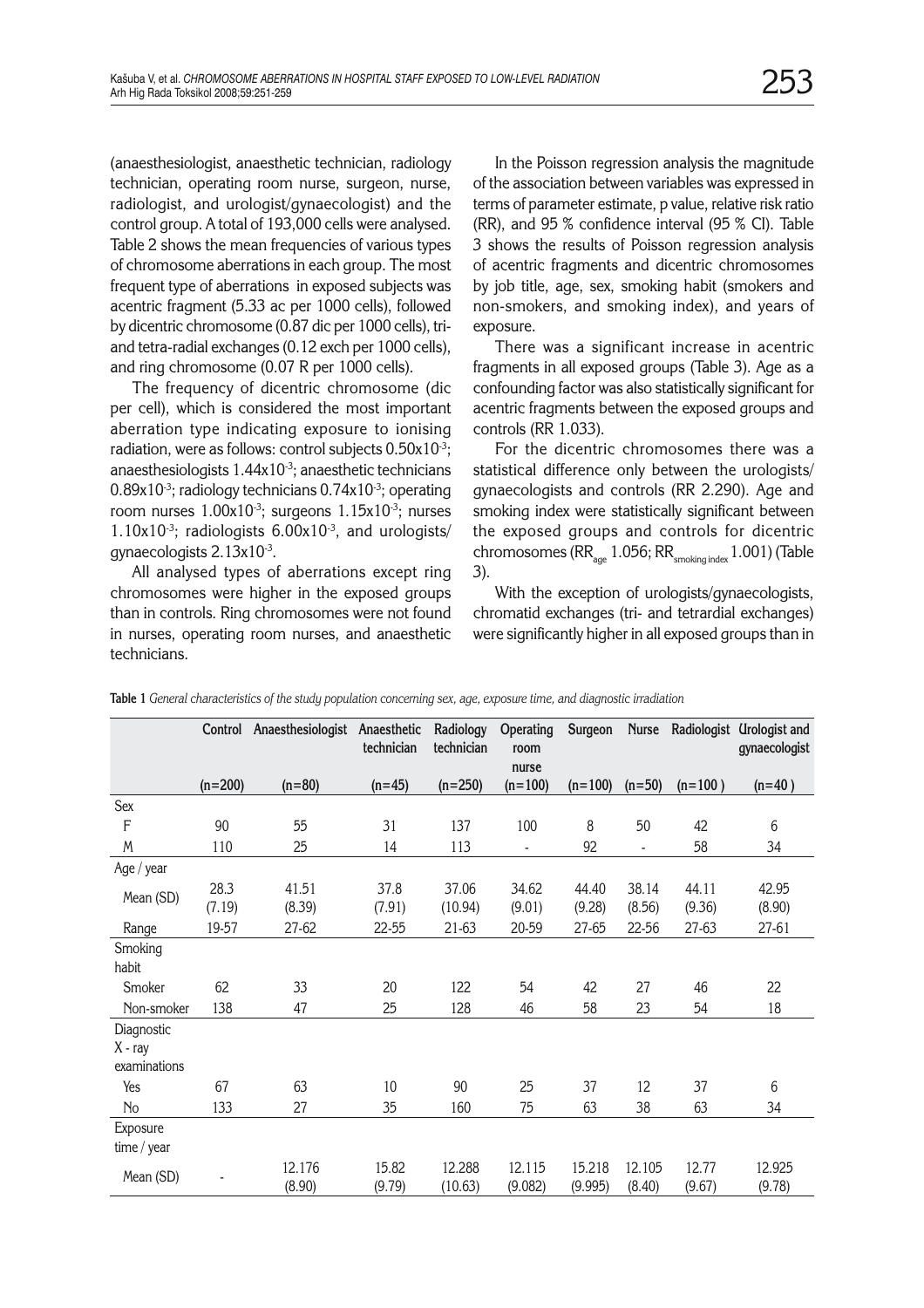(anaesthesiologist, anaesthetic technician, radiology technician, operating room nurse, surgeon, nurse, radiologist, and urologist/gynaecologist) and the control group. A total of 193,000 cells were analysed. Table 2 shows the mean frequencies of various types of chromosome aberrations in each group. The most frequent type of aberrations in exposed subjects was acentric fragment (5.33 ac per 1000 cells), followed by dicentric chromosome (0.87 dic per 1000 cells), triand tetra-radial exchanges (0.12 exch per 1000 cells), and ring chromosome (0.07 R per 1000 cells).

The frequency of dicentric chromosome (dic per cell), which is considered the most important aberration type indicating exposure to ionising radiation, were as follows: control subjects 0.50x10-3; anaesthesiologists  $1.44x10^{3}$ ; anaesthetic technicians 0.89x10<sup>-3</sup>; radiology technicians 0.74x10<sup>-3</sup>; operating room nurses  $1.00x10^{-3}$ ; surgeons  $1.15x10^{-3}$ ; nurses 1.10x10 $3$ ; radiologists 6.00x10 $3$ , and urologists/ gynaecologists 2.13x10-3.

All analysed types of aberrations except ring chromosomes were higher in the exposed groups than in controls. Ring chromosomes were not found in nurses, operating room nurses, and anaesthetic technicians.

In the Poisson regression analysis the magnitude of the association between variables was expressed in terms of parameter estimate, p value, relative risk ratio (RR), and 95 % confidence interval (95 % CI). Table 3 shows the results of Poisson regression analysis of acentric fragments and dicentric chromosomes by job title, age, sex, smoking habit (smokers and non-smokers, and smoking index), and years of exposure.

There was a significant increase in acentric fragments in all exposed groups (Table 3). Age as a confounding factor was also statistically significant for acentric fragments between the exposed groups and controls (RR 1.033).

For the dicentric chromosomes there was a statistical difference only between the urologists/ gynaecologists and controls (RR 2.290). Age and smoking index were statistically significant between the exposed groups and controls for dicentric chromosomes ( $RR_{\text{age}}$  1.056;  $RR_{\text{smoking index}}$  1.001) (Table 3).

With the exception of urologists/gynaecologists, chromatid exchanges (tri- and tetrardial exchanges) were significantly higher in all exposed groups than in

|                                       | Control   | Anaesthesiologist Anaesthetic | technician      | Radiology<br>technician | Operating<br>room<br>nurse | Surgeon           | <b>Nurse</b>     |                 | Radiologist Urologist and<br>gynaecologist |
|---------------------------------------|-----------|-------------------------------|-----------------|-------------------------|----------------------------|-------------------|------------------|-----------------|--------------------------------------------|
|                                       | $(n=200)$ | $(n=80)$                      | $(n=45)$        | $(n=250)$               | $(n=100)$                  | $(n=100)$         | $(n=50)$         | $(n=100)$       | $(n=40)$                                   |
| Sex                                   |           |                               |                 |                         |                            |                   |                  |                 |                                            |
| $\overline{F}$                        | 90        | 55                            | 31              | 137                     | 100                        | 8                 | 50               | 42              | 6                                          |
| M                                     | 110       | 25                            | 14              | 113                     | ÷,                         | 92                | ÷,               | 58              | 34                                         |
| Age / year                            |           |                               |                 |                         |                            |                   |                  |                 |                                            |
| Mean (SD)                             | 28.3      | 41.51                         | 37.8            | 37.06                   | 34.62                      | 44.40             | 38.14            | 44.11           | 42.95                                      |
|                                       | (7.19)    | (8.39)                        | (7.91)          | (10.94)                 | (9.01)                     | (9.28)            | (8.56)           | (9.36)          | (8.90)                                     |
| Range                                 | 19-57     | 27-62                         | 22-55           | 21-63                   | 20-59                      | 27-65             | 22-56            | 27-63           | 27-61                                      |
| Smoking<br>habit                      |           |                               |                 |                         |                            |                   |                  |                 |                                            |
| Smoker                                | 62        | 33                            | 20              | 122                     | 54                         | 42                | 27               | 46              | 22                                         |
| Non-smoker                            | 138       | 47                            | 25              | 128                     | 46                         | 58                | 23               | 54              | 18                                         |
| Diagnostic<br>X - ray<br>examinations |           |                               |                 |                         |                            |                   |                  |                 |                                            |
| Yes                                   | 67        | 63                            | 10              | 90                      | 25                         | 37                | 12               | 37              | 6                                          |
| No                                    | 133       | 27                            | 35              | 160                     | 75                         | 63                | 38               | 63              | 34                                         |
| Exposure<br>time / $year$             |           |                               |                 |                         |                            |                   |                  |                 |                                            |
| Mean (SD)                             |           | 12.176<br>(8.90)              | 15.82<br>(9.79) | 12.288<br>(10.63)       | 12.115<br>(9.082)          | 15.218<br>(9.995) | 12.105<br>(8.40) | 12.77<br>(9.67) | 12.925<br>(9.78)                           |

**Table 1** *General characteristics of the study population concerning sex, age, exposure time, and diagnostic irradiation*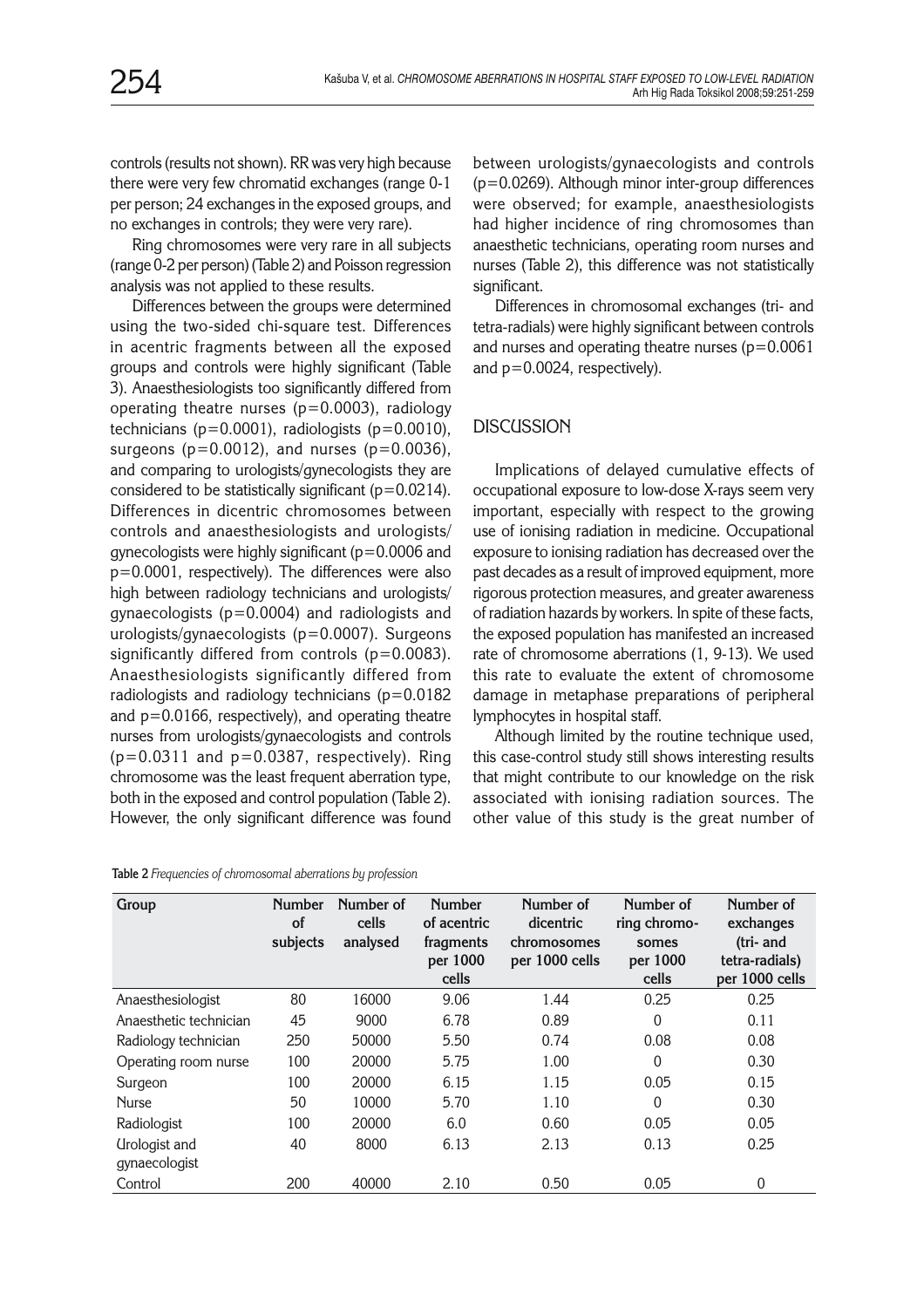controls (results not shown). RR was very high because there were very few chromatid exchanges (range 0-1 per person; 24 exchanges in the exposed groups, and no exchanges in controls; they were very rare).

Ring chromosomes were very rare in all subjects (range 0-2 per person) (Table 2) and Poisson regression analysis was not applied to these results.

Differences between the groups were determined using the two-sided chi-square test. Differences in acentric fragments between all the exposed groups and controls were highly significant (Table 3). Anaesthesiologists too significantly differed from operating theatre nurses  $(p=0.0003)$ , radiology technicians ( $p=0.0001$ ), radiologists ( $p=0.0010$ ), surgeons ( $p=0.0012$ ), and nurses ( $p=0.0036$ ), and comparing to urologists/gynecologists they are considered to be statistically significant (p=0.0214). Differences in dicentric chromosomes between controls and anaesthesiologists and urologists/ gynecologists were highly significant (p=0.0006 and p=0.0001, respectively). The differences were also high between radiology technicians and urologists/ gynaecologists (p=0.0004) and radiologists and urologists/gynaecologists (p=0.0007). Surgeons significantly differed from controls  $(p=0.0083)$ . Anaesthesiologists significantly differed from radiologists and radiology technicians (p=0.0182 and p=0.0166, respectively), and operating theatre nurses from urologists/gynaecologists and controls  $(p=0.0311$  and  $p=0.0387$ , respectively). Ring chromosome was the least frequent aberration type, both in the exposed and control population (Table 2). However, the only significant difference was found

| Table 2 Frequencies of chromosomal aberrations by profession |  |
|--------------------------------------------------------------|--|
|--------------------------------------------------------------|--|

between urologists/gynaecologists and controls (p=0.0269). Although minor inter-group differences were observed; for example, anaesthesiologists had higher incidence of ring chromosomes than anaesthetic technicians, operating room nurses and nurses (Table 2), this difference was not statistically significant.

Differences in chromosomal exchanges (tri- and tetra-radials) were highly significant between controls and nurses and operating theatre nurses  $(p=0.0061)$ and p=0.0024, respectively).

# **DISCUSSION**

Implications of delayed cumulative effects of occupational exposure to low-dose X-rays seem very important, especially with respect to the growing use of ionising radiation in medicine. Occupational exposure to ionising radiation has decreased over the past decades as a result of improved equipment, more rigorous protection measures, and greater awareness of radiation hazards by workers. In spite of these facts, the exposed population has manifested an increased rate of chromosome aberrations (1, 9-13). We used this rate to evaluate the extent of chromosome damage in metaphase preparations of peripheral lymphocytes in hospital staff.

Although limited by the routine technique used, this case-control study still shows interesting results that might contribute to our knowledge on the risk associated with ionising radiation sources. The other value of this study is the great number of

| Group                              | <b>Number</b><br>of<br>subjects | Number of<br>cells<br>analysed | <b>Number</b><br>of acentric<br>fragments<br>per 1000<br>cells | Number of<br>dicentric<br>chromosomes<br>per 1000 cells | Number of<br>ring chromo-<br>somes<br>per 1000<br>cells | Number of<br>exchanges<br>(tri- and<br>tetra-radials)<br>per 1000 cells |
|------------------------------------|---------------------------------|--------------------------------|----------------------------------------------------------------|---------------------------------------------------------|---------------------------------------------------------|-------------------------------------------------------------------------|
| Anaesthesiologist                  | 80                              | 16000                          | 9.06                                                           | 1.44                                                    | 0.25                                                    | 0.25                                                                    |
| Anaesthetic technician             | 45                              | 9000                           | 6.78                                                           | 0.89                                                    | $\Omega$                                                | 0.11                                                                    |
| Radiology technician               | 250                             | 50000                          | 5.50                                                           | 0.74                                                    | 0.08                                                    | 0.08                                                                    |
| Operating room nurse               | 100                             | 20000                          | 5.75                                                           | 1.00                                                    | $\mathbf{0}$                                            | 0.30                                                                    |
| Surgeon                            | 100                             | 20000                          | 6.15                                                           | 1.15                                                    | 0.05                                                    | 0.15                                                                    |
| <b>Nurse</b>                       | 50                              | 10000                          | 5.70                                                           | 1.10                                                    | $\Omega$                                                | 0.30                                                                    |
| Radiologist                        | 100                             | 20000                          | 6.0                                                            | 0.60                                                    | 0.05                                                    | 0.05                                                                    |
| <b><i><u>Urologist</u></i></b> and | 40                              | 8000                           | 6.13                                                           | 2.13                                                    | 0.13                                                    | 0.25                                                                    |
| gynaecologist                      |                                 |                                |                                                                |                                                         |                                                         |                                                                         |
| Control                            | 200                             | 40000                          | 2.10                                                           | 0.50                                                    | 0.05                                                    | $\Omega$                                                                |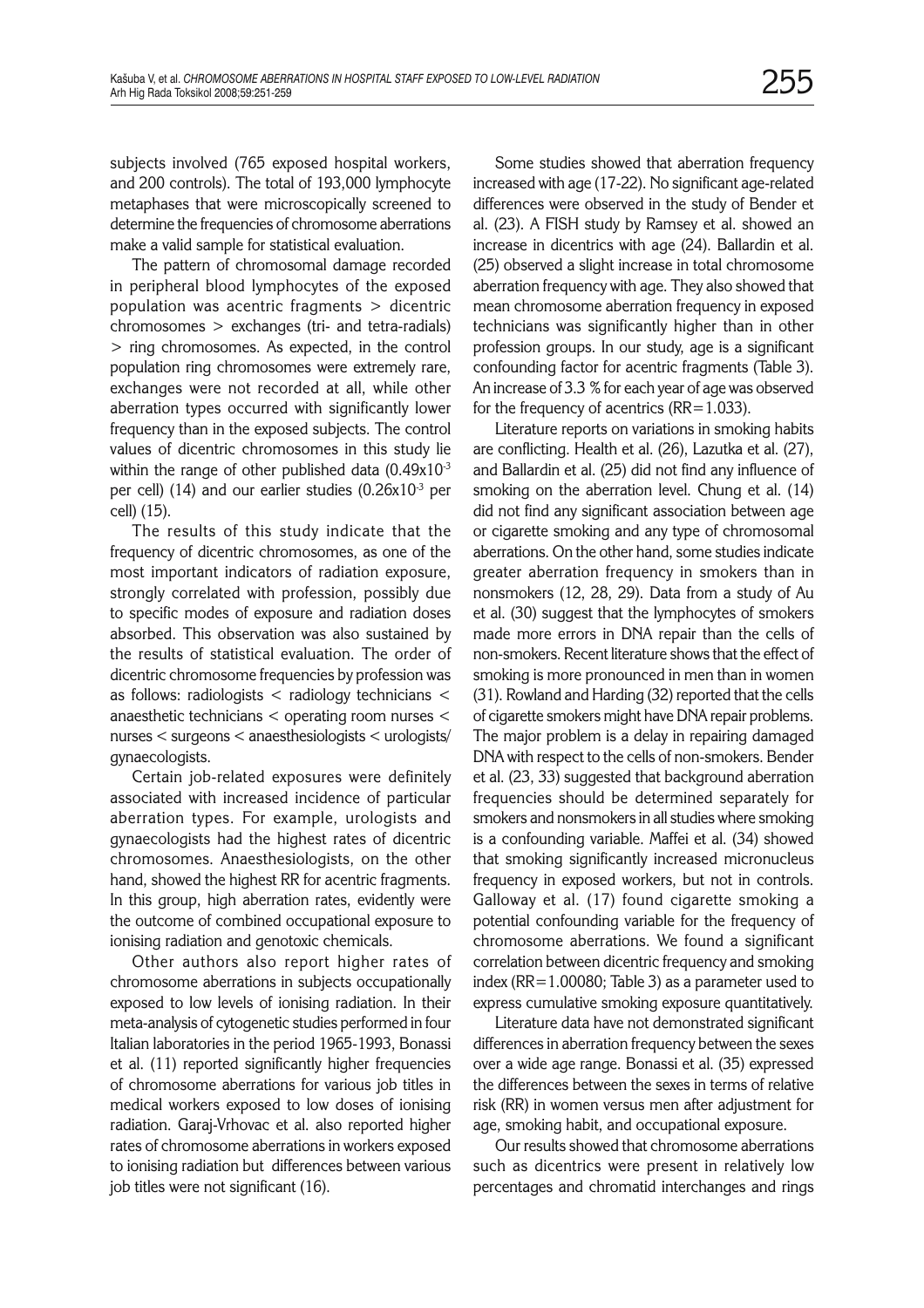subjects involved (765 exposed hospital workers, and 200 controls). The total of 193,000 lymphocyte metaphases that were microscopically screened to determine the frequencies of chromosome aberrations make a valid sample for statistical evaluation.

The pattern of chromosomal damage recorded in peripheral blood lymphocytes of the exposed population was acentric fragments > dicentric chromosomes > exchanges (tri- and tetra-radials) > ring chromosomes. As expected, in the control population ring chromosomes were extremely rare, exchanges were not recorded at all, while other aberration types occurred with significantly lower frequency than in the exposed subjects. The control values of dicentric chromosomes in this study lie within the range of other published data  $(0.49x10^{-3})$ per cell) (14) and our earlier studies  $(0.26x10^{-3})$  per cell) (15).

The results of this study indicate that the frequency of dicentric chromosomes, as one of the most important indicators of radiation exposure, strongly correlated with profession, possibly due to specific modes of exposure and radiation doses absorbed. This observation was also sustained by the results of statistical evaluation. The order of dicentric chromosome frequencies by profession was as follows: radiologists  $\leq$  radiology technicians  $\leq$ anaesthetic technicians < operating room nurses < nurses < surgeons < anaesthesiologists < urologists/ gynaecologists.

Certain job-related exposures were definitely associated with increased incidence of particular aberration types. For example, urologists and gynaecologists had the highest rates of dicentric chromosomes. Anaesthesiologists, on the other hand, showed the highest RR for acentric fragments. In this group, high aberration rates, evidently were the outcome of combined occupational exposure to ionising radiation and genotoxic chemicals.

Other authors also report higher rates of chromosome aberrations in subjects occupationally exposed to low levels of ionising radiation. In their meta-analysis of cytogenetic studies performed in four Italian laboratories in the period 1965-1993, Bonassi et al. (11) reported significantly higher frequencies of chromosome aberrations for various job titles in medical workers exposed to low doses of ionising radiation. Garaj-Vrhovac et al. also reported higher rates of chromosome aberrations in workers exposed to ionising radiation but differences between various job titles were not significant (16).

Some studies showed that aberration frequency increased with age (17-22). No significant age-related differences were observed in the study of Bender et al. (23). A FISH study by Ramsey et al. showed an increase in dicentrics with age (24). Ballardin et al. (25) observed a slight increase in total chromosome aberration frequency with age. They also showed that mean chromosome aberration frequency in exposed technicians was significantly higher than in other profession groups. In our study, age is a significant confounding factor for acentric fragments (Table 3). An increase of 3.3 % for each year of age was observed for the frequency of acentrics  $(RR=1.033)$ .

Literature reports on variations in smoking habits are conflicting. Health et al. (26), Lazutka et al. (27), and Ballardin et al. (25) did not find any influence of smoking on the aberration level. Chung et al. (14) did not find any significant association between age or cigarette smoking and any type of chromosomal aberrations. On the other hand, some studies indicate greater aberration frequency in smokers than in nonsmokers (12, 28, 29). Data from a study of Au et al. (30) suggest that the lymphocytes of smokers made more errors in DNA repair than the cells of non-smokers. Recent literature shows that the effect of smoking is more pronounced in men than in women (31). Rowland and Harding (32) reported that the cells of cigarette smokers might have DNA repair problems. The major problem is a delay in repairing damaged DNA with respect to the cells of non-smokers. Bender et al. (23, 33) suggested that background aberration frequencies should be determined separately for smokers and nonsmokers in all studies where smoking is a confounding variable. Maffei et al. (34) showed that smoking significantly increased micronucleus frequency in exposed workers, but not in controls. Galloway et al. (17) found cigarette smoking a potential confounding variable for the frequency of chromosome aberrations. We found a significant correlation between dicentric frequency and smoking index (RR=1.00080; Table 3) as a parameter used to express cumulative smoking exposure quantitatively.

Literature data have not demonstrated significant differences in aberration frequency between the sexes over a wide age range. Bonassi et al. (35) expressed the differences between the sexes in terms of relative risk (RR) in women versus men after adjustment for age, smoking habit, and occupational exposure.

Our results showed that chromosome aberrations such as dicentrics were present in relatively low percentages and chromatid interchanges and rings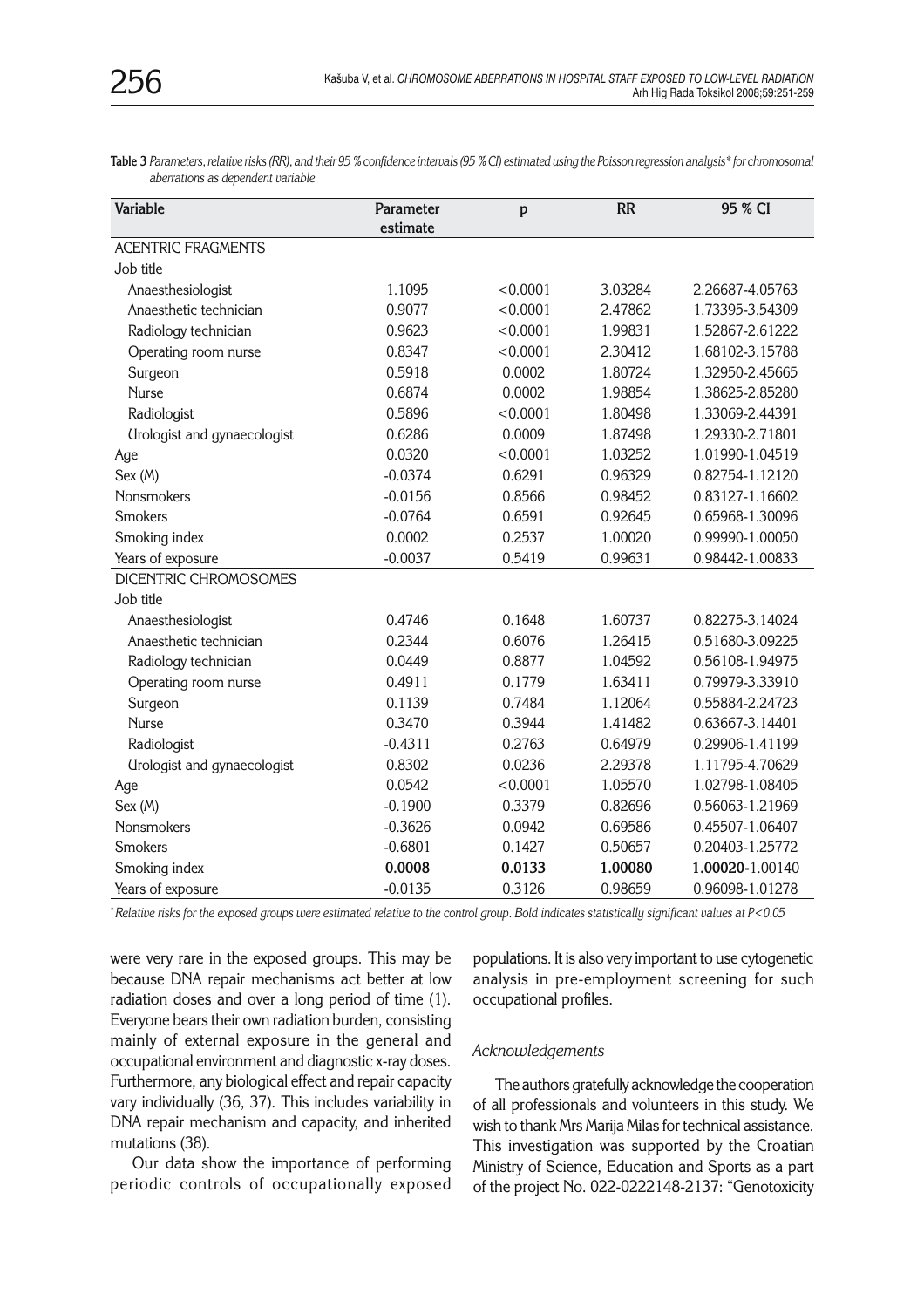**Table 3** *Parameters, relative risks (RR), and their 95 % confidence intervals (95 % CI) estimated using the Poisson regression analysis\* for chromosomal aberrations as dependent variable*

| Variable                           | Parameter<br>estimate | p                 | <b>RR</b>                  | 95 % CI         |  |
|------------------------------------|-----------------------|-------------------|----------------------------|-----------------|--|
| <b>ACENTRIC FRAGMENTS</b>          |                       |                   |                            |                 |  |
| Job title                          |                       |                   |                            |                 |  |
| Anaesthesiologist                  | 1.1095                | < 0.0001          | 3.03284                    | 2.26687-4.05763 |  |
| Anaesthetic technician             | 0.9077                | < 0.0001          | 2.47862                    | 1.73395-3.54309 |  |
| Radiology technician               | 0.9623                | < 0.0001          | 1.99831                    | 1.52867-2.61222 |  |
| Operating room nurse               | 0.8347                | < 0.0001          | 2.30412                    | 1.68102-3.15788 |  |
| Surgeon                            | 0.5918                | 1.80724<br>0.0002 |                            | 1.32950-2.45665 |  |
| <b>Nurse</b>                       | 0.6874                | 0.0002            | 1.98854<br>1.38625-2.85280 |                 |  |
| Radiologist                        | 0.5896                | < 0.0001          | 1.80498                    | 1.33069-2.44391 |  |
| <b>Urologist and gynaecologist</b> | 0.6286                | 0.0009            | 1.87498                    | 1.29330-2.71801 |  |
| Age                                | 0.0320                | < 0.0001          | 1.03252                    | 1.01990-1.04519 |  |
| Sex (M)                            | $-0.0374$             | 0.6291            | 0.96329                    | 0.82754-1.12120 |  |
| Nonsmokers                         | $-0.0156$             | 0.8566            | 0.98452                    | 0.83127-1.16602 |  |
| <b>Smokers</b>                     | $-0.0764$             | 0.6591            | 0.92645                    | 0.65968-1.30096 |  |
| Smoking index                      | 0.0002                | 0.2537            | 1.00020                    | 0.99990-1.00050 |  |
| Years of exposure                  | $-0.0037$             | 0.5419            | 0.99631                    | 0.98442-1.00833 |  |
| <b>DICENTRIC CHROMOSOMES</b>       |                       |                   |                            |                 |  |
| Job title                          |                       |                   |                            |                 |  |
| Anaesthesiologist                  | 0.4746                | 0.1648            | 1.60737                    | 0.82275-3.14024 |  |
| Anaesthetic technician             | 0.2344                | 0.6076            | 1.26415                    | 0.51680-3.09225 |  |
| Radiology technician               | 0.0449                | 0.8877            | 1.04592                    | 0.56108-1.94975 |  |
| Operating room nurse               | 0.4911                | 0.1779            | 1.63411                    | 0.79979-3.33910 |  |
| Surgeon                            | 0.1139                | 0.7484            | 1.12064                    | 0.55884-2.24723 |  |
| <b>Nurse</b>                       | 0.3470                | 0.3944            | 1.41482                    | 0.63667-3.14401 |  |
| Radiologist                        | $-0.4311$             | 0.2763            | 0.64979                    | 0.29906-1.41199 |  |
| Urologist and gynaecologist        | 0.8302                | 0.0236            | 2.29378                    | 1.11795-4.70629 |  |
| Age                                | 0.0542                | < 0.0001          | 1.05570                    | 1.02798-1.08405 |  |
| Sex (M)                            | $-0.1900$             | 0.3379            | 0.82696                    | 0.56063-1.21969 |  |
| Nonsmokers                         | $-0.3626$             | 0.0942            | 0.69586                    | 0.45507-1.06407 |  |
| <b>Smokers</b>                     | $-0.6801$             | 0.1427            | 0.50657                    | 0.20403-1.25772 |  |
| Smoking index                      | 0.0008                | 0.0133            | 1.00080                    | 1.00020-1.00140 |  |
| Years of exposure                  | $-0.0135$             | 0.3126            | 0.98659                    | 0.96098-1.01278 |  |

*\*Relative risks for the exposed groups were estimated relative to the control group. Bold indicates statistically significant values at P<0.05*

were very rare in the exposed groups. This may be because DNA repair mechanisms act better at low radiation doses and over a long period of time (1). Everyone bears their own radiation burden, consisting mainly of external exposure in the general and occupational environment and diagnostic x-ray doses. Furthermore, any biological effect and repair capacity vary individually (36, 37). This includes variability in DNA repair mechanism and capacity, and inherited mutations (38).

Our data show the importance of performing periodic controls of occupationally exposed populations. It is also very important to use cytogenetic analysis in pre-employment screening for such occupational profiles.

#### *Acknowledgements*

The authors gratefully acknowledge the cooperation of all professionals and volunteers in this study. We wish to thank Mrs Marija Milas for technical assistance. This investigation was supported by the Croatian Ministry of Science, Education and Sports as a part of the project No. 022-0222148-2137: "Genotoxicity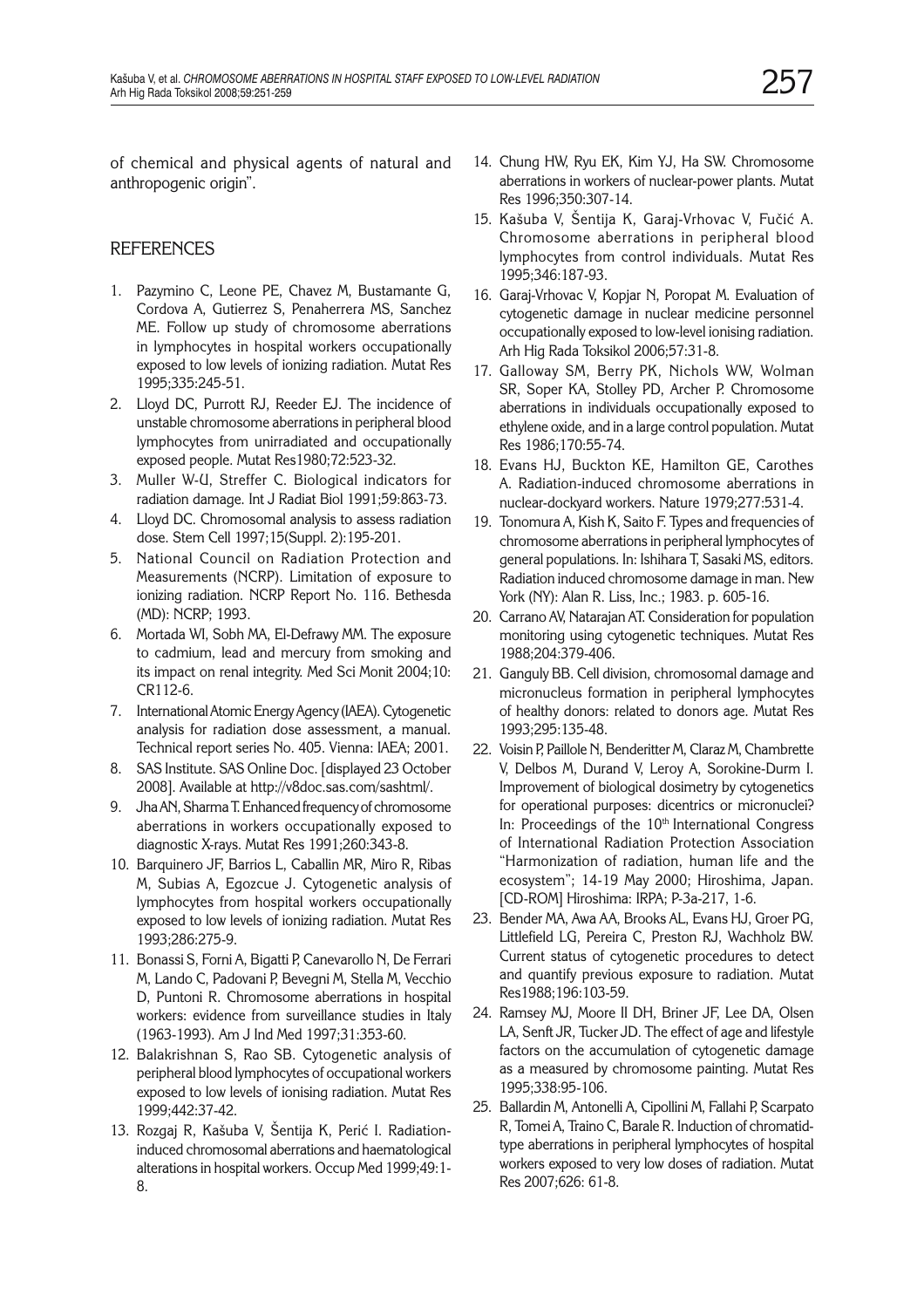of chemical and physical agents of natural and anthropogenic origin".

# **REFERENCES**

- 1. Pazymino C, Leone PE, Chavez M, Bustamante G, Cordova A, Gutierrez S, Penaherrera MS, Sanchez ME. Follow up study of chromosome aberrations in lymphocytes in hospital workers occupationally exposed to low levels of ionizing radiation. Mutat Res 1995;335:245-51.
- 2. Lloyd DC, Purrott RJ, Reeder EJ. The incidence of unstable chromosome aberrations in peripheral blood lymphocytes from unirradiated and occupationally exposed people. Mutat Res1980;72:523-32.
- 3. Muller W-U, Streffer C. Biological indicators for radiation damage. Int J Radiat Biol 1991;59:863-73.
- 4. Lloyd DC. Chromosomal analysis to assess radiation dose. Stem Cell 1997;15(Suppl. 2):195-201.
- 5. National Council on Radiation Protection and Measurements (NCRP). Limitation of exposure to ionizing radiation. NCRP Report No. 116. Bethesda (MD): NCRP; 1993.
- 6. Mortada WI, Sobh MA, El-Defrawy MM. The exposure to cadmium, lead and mercury from smoking and its impact on renal integrity. Med Sci Monit 2004;10: CR112-6.
- 7. International Atomic Energy Agency (IAEA). Cytogenetic analysis for radiation dose assessment, a manual. Technical report series No. 405. Vienna: IAEA; 2001.
- 8. SAS Institute. SAS Online Doc. [displayed 23 October 2008]. Available at http://v8doc.sas.com/sashtml/.
- 9. Jha AN, Sharma T. Enhanced frequency of chromosome aberrations in workers occupationally exposed to diagnostic X-rays. Mutat Res 1991;260:343-8.
- 10. Barquinero JF, Barrios L, Caballin MR, Miro R, Ribas M, Subias A, Egozcue J. Cytogenetic analysis of lymphocytes from hospital workers occupationally exposed to low levels of ionizing radiation. Mutat Res 1993;286:275-9.
- 11. Bonassi S, Forni A, Bigatti P, Canevarollo N, De Ferrari M, Lando C, Padovani P, Bevegni M, Stella M, Vecchio D, Puntoni R. Chromosome aberrations in hospital workers: evidence from surveillance studies in Italy (1963-1993). Am J Ind Med 1997;31:353-60.
- 12. Balakrishnan S, Rao SB. Cytogenetic analysis of peripheral blood lymphocytes of occupational workers exposed to low levels of ionising radiation. Mutat Res 1999;442:37-42.
- 13. Rozgaj R, Kašuba V, Šentija K, Perić I. Radiationinduced chromosomal aberrations and haematological alterations in hospital workers. Occup Med 1999;49:1- 8.
- 14. Chung HW, Ryu EK, Kim YJ, Ha SW. Chromosome aberrations in workers of nuclear-power plants. Mutat Res 1996;350:307-14.
- 15. Kašuba V, Šentija K, Garaj-Vrhovac V, Fučić A. Chromosome aberrations in peripheral blood lymphocytes from control individuals. Mutat Res 1995;346:187-93.
- 16. Garaj-Vrhovac V, Kopjar N, Poropat M. Evaluation of cytogenetic damage in nuclear medicine personnel occupationally exposed to low-level ionising radiation. Arh Hig Rada Toksikol 2006;57:31-8.
- 17. Galloway SM, Berry PK, Nichols WW, Wolman SR, Soper KA, Stolley PD, Archer P. Chromosome aberrations in individuals occupationally exposed to ethylene oxide, and in a large control population. Mutat Res 1986;170:55-74.
- 18. Evans HJ, Buckton KE, Hamilton GE, Carothes A. Radiation-induced chromosome aberrations in nuclear-dockyard workers. Nature 1979;277:531-4.
- 19. Tonomura A, Kish K, Saito F. Types and frequencies of chromosome aberrations in peripheral lymphocytes of general populations. In: Ishihara T, Sasaki MS, editors. Radiation induced chromosome damage in man. New York (NY): Alan R. Liss, Inc.; 1983. p. 605-16.
- 20. Carrano AV, Natarajan AT. Consideration for population monitoring using cytogenetic techniques. Mutat Res 1988;204:379-406.
- 21. Ganguly BB. Cell division, chromosomal damage and micronucleus formation in peripheral lymphocytes of healthy donors: related to donors age. Mutat Res 1993;295:135-48.
- 22. Voisin P, Paillole N, Benderitter M, Claraz M, Chambrette V, Delbos M, Durand V, Leroy A, Sorokine-Durm I. Improvement of biological dosimetry by cytogenetics for operational purposes: dicentrics or micronuclei? In: Proceedings of the 10<sup>th</sup> International Congress of International Radiation Protection Association "Harmonization of radiation, human life and the ecosystem"; 14-19 May 2000; Hiroshima, Japan. [CD-ROM] Hiroshima: IRPA; P-3a-217, 1-6.
- 23. Bender MA, Awa AA, Brooks AL, Evans HJ, Groer PG, Littlefield LG, Pereira C, Preston RJ, Wachholz BW. Current status of cytogenetic procedures to detect and quantify previous exposure to radiation. Mutat Res1988;196:103-59.
- 24. Ramsey MJ, Moore II DH, Briner JF, Lee DA, Olsen LA, Senft JR, Tucker JD. The effect of age and lifestyle factors on the accumulation of cytogenetic damage as a measured by chromosome painting. Mutat Res 1995;338:95-106.
- 25. Ballardin M, Antonelli A, Cipollini M, Fallahi P, Scarpato R, Tomei A, Traino C, Barale R. Induction of chromatidtype aberrations in peripheral lymphocytes of hospital workers exposed to very low doses of radiation. Mutat Res 2007;626: 61-8.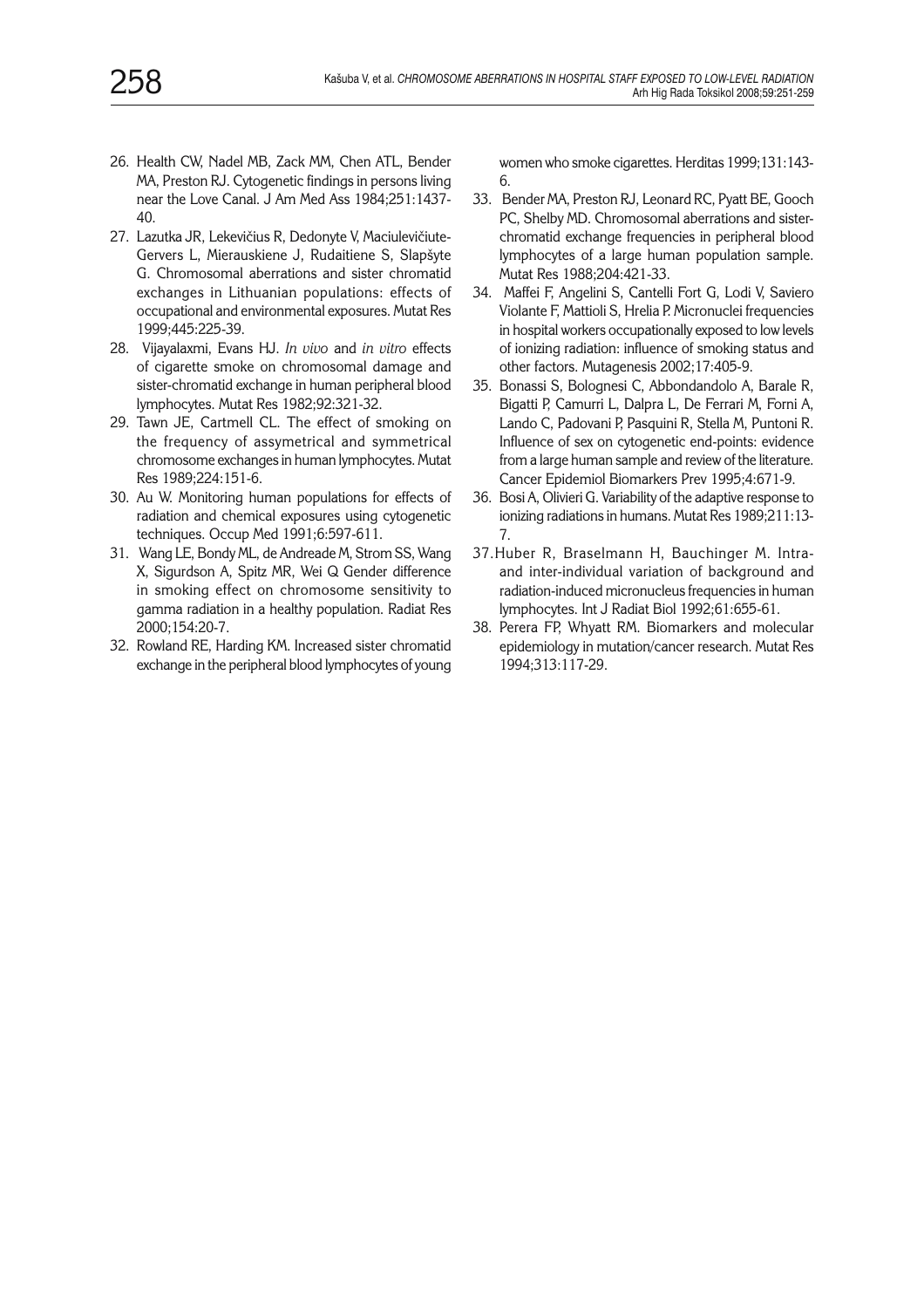- 26. Health CW, Nadel MB, Zack MM, Chen ATL, Bender MA, Preston RJ. Cytogenetic findings in persons living near the Love Canal. J Am Med Ass 1984;251:1437- 40.
- 27. Lazutka JR, Lekevičius R, Dedonyte V, Maciulevičiute-Gervers L, Mierauskiene J, Rudaitiene S, Slapšyte G. Chromosomal aberrations and sister chromatid exchanges in Lithuanian populations: effects of occupational and environmental exposures. Mutat Res 1999;445:225-39.
- 28. Vijayalaxmi, Evans HJ. *In vivo* and *in vitro* effects of cigarette smoke on chromosomal damage and sister-chromatid exchange in human peripheral blood lymphocytes. Mutat Res 1982;92:321-32.
- 29. Tawn JE, Cartmell CL. The effect of smoking on the frequency of assymetrical and symmetrical chromosome exchanges in human lymphocytes. Mutat Res 1989;224:151-6.
- 30. Au W. Monitoring human populations for effects of radiation and chemical exposures using cytogenetic techniques. Occup Med 1991;6:597-611.
- 31. Wang LE, Bondy ML, de Andreade M, Strom SS, Wang X, Sigurdson A, Spitz MR, Wei Q Gender difference in smoking effect on chromosome sensitivity to gamma radiation in a healthy population. Radiat Res 2000;154:20-7.
- 32. Rowland RE, Harding KM. Increased sister chromatid exchange in the peripheral blood lymphocytes of young

women who smoke cigarettes. Herditas 1999;131:143- 6.

- 33. Bender MA, Preston RJ, Leonard RC, Pyatt BE, Gooch PC, Shelby MD. Chromosomal aberrations and sisterchromatid exchange frequencies in peripheral blood lymphocytes of a large human population sample. Mutat Res 1988;204:421-33.
- 34. Maffei F, Angelini S, Cantelli Fort G, Lodi V, Saviero Violante F, Mattioli S, Hrelia P. Micronuclei frequencies in hospital workers occupationally exposed to low levels of ionizing radiation: influence of smoking status and other factors. Mutagenesis 2002;17:405-9.
- 35. Bonassi S, Bolognesi C, Abbondandolo A, Barale R, Bigatti P, Camurri L, Dalpra L, De Ferrari M, Forni A, Lando C, Padovani P, Pasquini R, Stella M, Puntoni R. Influence of sex on cytogenetic end-points: evidence from a large human sample and review of the literature. Cancer Epidemiol Biomarkers Prev 1995;4:671-9.
- 36. Bosi A, Olivieri G. Variability of the adaptive response to ionizing radiations in humans. Mutat Res 1989;211:13- 7.
- 37.Huber R, Braselmann H, Bauchinger M. Intraand inter-individual variation of background and radiation-induced micronucleus frequencies in human lymphocytes. Int J Radiat Biol 1992;61:655-61.
- 38. Perera FP, Whyatt RM. Biomarkers and molecular epidemiology in mutation/cancer research. Mutat Res 1994;313:117-29.